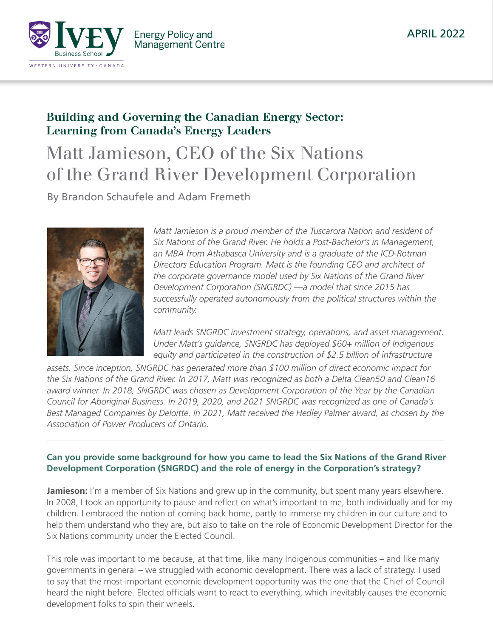

# Building and Governing the Canadian Energy Sector: Learning from Canada's Energy Leaders

# Matt Jamieson, CEO of the Six Nations of the Grand River Development Corporation

By Brandon Schaufele and Adam Fremeth



*Matt Jamieson is a proud member of the Tuscarora Nation and resident of Six Nations of the Grand River. He holds a Post-Bachelor's in Management, an MBA from Athabasca University and is a graduate of the ICD-Rotman Directors Education Program. Matt is the founding CEO and architect of the corporate governance model used by Six Nations of the Grand River Development Corporation (SNGRDC) —a model that since 2015 has successfully operated autonomously from the political structures within the community.*

*Matt leads SNGRDC investment strategy, operations, and asset management. Under Matt's guidance, SNGRDC has deployed \$60+ million of Indigenous equity and participated in the construction of \$2.5 billion of infrastructure* 

*assets. Since inception, SNGRDC has generated more than \$100 million of direct economic impact for the Six Nations of the Grand River. In 2017, Matt was recognized as both a Delta Clean50 and Clean16 award winner. In 2018, SNGRDC was chosen as Development Corporation of the Year by the Canadian Council for Aboriginal Business. In 2019, 2020, and 2021 SNGRDC was recognized as one of Canada's Best Managed Companies by Deloitte. In 2021, Matt received the Hedley Palmer award, as chosen by the Association of Power Producers of Ontario.*

# **Can you provide some background for how you came to lead the Six Nations of the Grand River Development Corporation (SNGRDC) and the role of energy in the Corporation's strategy?**

**Jamieson:** I'm a member of Six Nations and grew up in the community, but spent many years elsewhere. In 2008, I took an opportunity to pause and reflect on what's important to me, both individually and for my children. I embraced the notion of coming back home, partly to immerse my children in our culture and to help them understand who they are, but also to take on the role of Economic Development Director for the Six Nations community under the Elected Council.

This role was important to me because, at that time, like many Indigenous communities – and like many governments in general – we struggled with economic development. There was a lack of strategy. I used to say that the most important economic development opportunity was the one that the Chief of Council heard the night before. Elected officials want to react to everything, which inevitably causes the economic development folks to spin their wheels.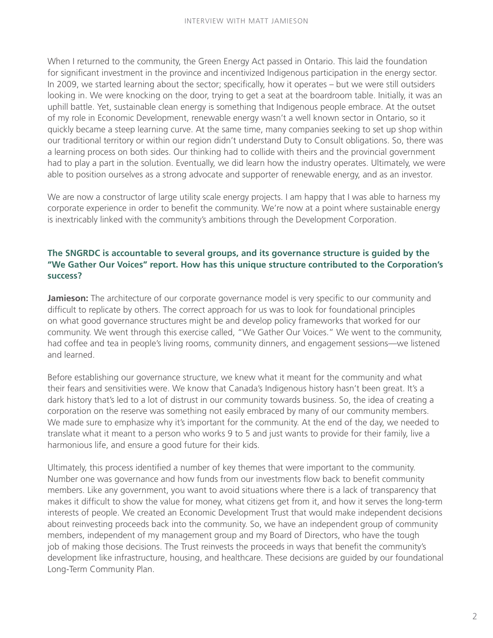When I returned to the community, the Green Energy Act passed in Ontario. This laid the foundation for significant investment in the province and incentivized Indigenous participation in the energy sector. In 2009, we started learning about the sector; specifically, how it operates – but we were still outsiders looking in. We were knocking on the door, trying to get a seat at the boardroom table. Initially, it was an uphill battle. Yet, sustainable clean energy is something that Indigenous people embrace. At the outset of my role in Economic Development, renewable energy wasn't a well known sector in Ontario, so it quickly became a steep learning curve. At the same time, many companies seeking to set up shop within our traditional territory or within our region didn't understand Duty to Consult obligations. So, there was a learning process on both sides. Our thinking had to collide with theirs and the provincial government had to play a part in the solution. Eventually, we did learn how the industry operates. Ultimately, we were able to position ourselves as a strong advocate and supporter of renewable energy, and as an investor.

We are now a constructor of large utility scale energy projects. I am happy that I was able to harness my corporate experience in order to benefit the community. We're now at a point where sustainable energy is inextricably linked with the community's ambitions through the Development Corporation.

# **The SNGRDC is accountable to several groups, and its governance structure is guided by the "We Gather Our Voices" report. How has this unique structure contributed to the Corporation's success?**

**Jamieson:** The architecture of our corporate governance model is very specific to our community and difficult to replicate by others. The correct approach for us was to look for foundational principles on what good governance structures might be and develop policy frameworks that worked for our community. We went through this exercise called, "We Gather Our Voices." We went to the community, had coffee and tea in people's living rooms, community dinners, and engagement sessions—we listened and learned.

Before establishing our governance structure, we knew what it meant for the community and what their fears and sensitivities were. We know that Canada's Indigenous history hasn't been great. It's a dark history that's led to a lot of distrust in our community towards business. So, the idea of creating a corporation on the reserve was something not easily embraced by many of our community members. We made sure to emphasize why it's important for the community. At the end of the day, we needed to translate what it meant to a person who works 9 to 5 and just wants to provide for their family, live a harmonious life, and ensure a good future for their kids.

Ultimately, this process identified a number of key themes that were important to the community. Number one was governance and how funds from our investments flow back to benefit community members. Like any government, you want to avoid situations where there is a lack of transparency that makes it difficult to show the value for money, what citizens get from it, and how it serves the long-term interests of people. We created an Economic Development Trust that would make independent decisions about reinvesting proceeds back into the community. So, we have an independent group of community members, independent of my management group and my Board of Directors, who have the tough job of making those decisions. The Trust reinvests the proceeds in ways that benefit the community's development like infrastructure, housing, and healthcare. These decisions are guided by our foundational Long-Term Community Plan.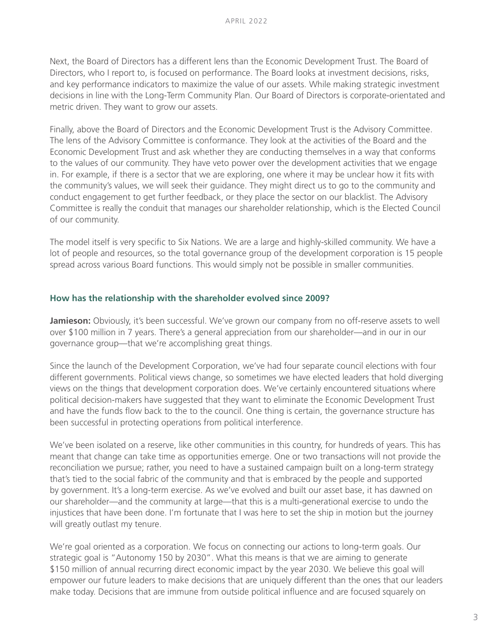Next, the Board of Directors has a different lens than the Economic Development Trust. The Board of Directors, who I report to, is focused on performance. The Board looks at investment decisions, risks, and key performance indicators to maximize the value of our assets. While making strategic investment decisions in line with the Long-Term Community Plan. Our Board of Directors is corporate-orientated and metric driven. They want to grow our assets.

Finally, above the Board of Directors and the Economic Development Trust is the Advisory Committee. The lens of the Advisory Committee is conformance. They look at the activities of the Board and the Economic Development Trust and ask whether they are conducting themselves in a way that conforms to the values of our community. They have veto power over the development activities that we engage in. For example, if there is a sector that we are exploring, one where it may be unclear how it fits with the community's values, we will seek their guidance. They might direct us to go to the community and conduct engagement to get further feedback, or they place the sector on our blacklist. The Advisory Committee is really the conduit that manages our shareholder relationship, which is the Elected Council of our community.

The model itself is very specific to Six Nations. We are a large and highly-skilled community. We have a lot of people and resources, so the total governance group of the development corporation is 15 people spread across various Board functions. This would simply not be possible in smaller communities.

#### **How has the relationship with the shareholder evolved since 2009?**

**Jamieson:** Obviously, it's been successful. We've grown our company from no off-reserve assets to well over \$100 million in 7 years. There's a general appreciation from our shareholder—and in our in our governance group—that we're accomplishing great things.

Since the launch of the Development Corporation, we've had four separate council elections with four different governments. Political views change, so sometimes we have elected leaders that hold diverging views on the things that development corporation does. We've certainly encountered situations where political decision-makers have suggested that they want to eliminate the Economic Development Trust and have the funds flow back to the to the council. One thing is certain, the governance structure has been successful in protecting operations from political interference.

We've been isolated on a reserve, like other communities in this country, for hundreds of years. This has meant that change can take time as opportunities emerge. One or two transactions will not provide the reconciliation we pursue; rather, you need to have a sustained campaign built on a long-term strategy that's tied to the social fabric of the community and that is embraced by the people and supported by government. It's a long-term exercise. As we've evolved and built our asset base, it has dawned on our shareholder—and the community at large—that this is a multi-generational exercise to undo the injustices that have been done. I'm fortunate that I was here to set the ship in motion but the journey will greatly outlast my tenure.

We're goal oriented as a corporation. We focus on connecting our actions to long-term goals. Our strategic goal is "Autonomy 150 by 2030". What this means is that we are aiming to generate \$150 million of annual recurring direct economic impact by the year 2030. We believe this goal will empower our future leaders to make decisions that are uniquely different than the ones that our leaders make today. Decisions that are immune from outside political influence and are focused squarely on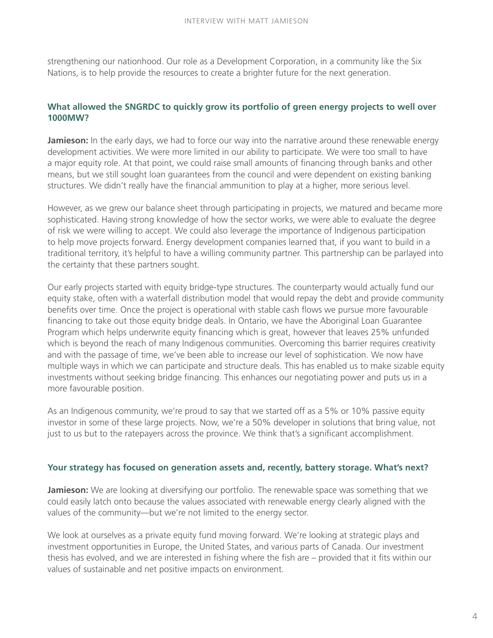strengthening our nationhood. Our role as a Development Corporation, in a community like the Six Nations, is to help provide the resources to create a brighter future for the next generation.

# **What allowed the SNGRDC to quickly grow its portfolio of green energy projects to well over 1000MW?**

**Jamieson:** In the early days, we had to force our way into the narrative around these renewable energy development activities. We were more limited in our ability to participate. We were too small to have a major equity role. At that point, we could raise small amounts of financing through banks and other means, but we still sought loan guarantees from the council and were dependent on existing banking structures. We didn't really have the financial ammunition to play at a higher, more serious level.

However, as we grew our balance sheet through participating in projects, we matured and became more sophisticated. Having strong knowledge of how the sector works, we were able to evaluate the degree of risk we were willing to accept. We could also leverage the importance of Indigenous participation to help move projects forward. Energy development companies learned that, if you want to build in a traditional territory, it's helpful to have a willing community partner. This partnership can be parlayed into the certainty that these partners sought.

Our early projects started with equity bridge-type structures. The counterparty would actually fund our equity stake, often with a waterfall distribution model that would repay the debt and provide community benefits over time. Once the project is operational with stable cash flows we pursue more favourable financing to take out those equity bridge deals. In Ontario, we have the Aboriginal Loan Guarantee Program which helps underwrite equity financing which is great, however that leaves 25% unfunded which is beyond the reach of many Indigenous communities. Overcoming this barrier requires creativity and with the passage of time, we've been able to increase our level of sophistication. We now have multiple ways in which we can participate and structure deals. This has enabled us to make sizable equity investments without seeking bridge financing. This enhances our negotiating power and puts us in a more favourable position.

As an Indigenous community, we're proud to say that we started off as a 5% or 10% passive equity investor in some of these large projects. Now, we're a 50% developer in solutions that bring value, not just to us but to the ratepayers across the province. We think that's a significant accomplishment.

#### **Your strategy has focused on generation assets and, recently, battery storage. What's next?**

**Jamieson:** We are looking at diversifying our portfolio. The renewable space was something that we could easily latch onto because the values associated with renewable energy clearly aligned with the values of the community—but we're not limited to the energy sector.

We look at ourselves as a private equity fund moving forward. We're looking at strategic plays and investment opportunities in Europe, the United States, and various parts of Canada. Our investment thesis has evolved, and we are interested in fishing where the fish are – provided that it fits within our values of sustainable and net positive impacts on environment.